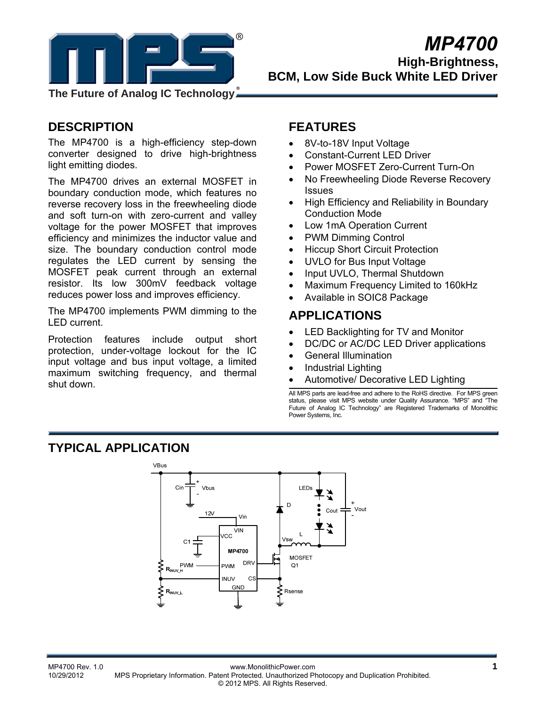

**The Future of Analog IC Technology**

# **DESCRIPTION**

The MP4700 is a high-efficiency step-down converter designed to drive high-brightness light emitting diodes.

The MP4700 drives an external MOSFET in boundary conduction mode, which features no reverse recovery loss in the freewheeling diode and soft turn-on with zero-current and valley voltage for the power MOSFET that improves efficiency and minimizes the inductor value and size. The boundary conduction control mode regulates the LED current by sensing the MOSFET peak current through an external resistor. Its low 300mV feedback voltage reduces power loss and improves efficiency.

The MP4700 implements PWM dimming to the LED current.

Protection features include output short protection, under-voltage lockout for the IC input voltage and bus input voltage, a limited maximum switching frequency, and thermal shut down.

## **FEATURES**

- 8V-to-18V Input Voltage
- Constant-Current LED Driver
- Power MOSFET Zero-Current Turn-On
- No Freewheeling Diode Reverse Recovery **Issues**
- High Efficiency and Reliability in Boundary Conduction Mode
- Low 1mA Operation Current
- PWM Dimming Control
- Hiccup Short Circuit Protection
- UVLO for Bus Input Voltage
- Input UVLO, Thermal Shutdown
- Maximum Frequency Limited to 160kHz
- Available in SOIC8 Package

## **APPLICATIONS**

- LED Backlighting for TV and Monitor
- DC/DC or AC/DC LED Driver applications
- General Illumination
- Industrial Lighting
- Automotive/ Decorative LED Lighting

All MPS parts are lead-free and adhere to the RoHS directive. For MPS green status, please visit MPS website under Quality Assurance. "MPS" and "The Future of Analog IC Technology" are Registered Trademarks of Monolithic Power Systems, Inc.

# **TYPICAL APPLICATION**

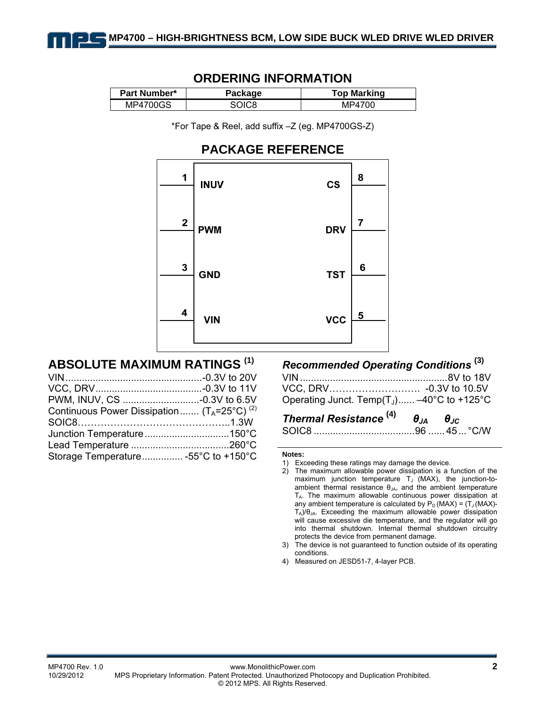| <u>UNDERING INI URUATIVIN</u> |         |                    |  |  |  |
|-------------------------------|---------|--------------------|--|--|--|
| <b>Part Number*</b>           | Package | <b>Top Marking</b> |  |  |  |
| MP4700GS                      | SOIC8   | MP4700             |  |  |  |

## **ORDERING INFORMATION**

\*For Tape & Reel, add suffix –Z (eg. MP4700GS-Z)

## **PACKAGE REFERENCE**



## **ABSOLUTE MAXIMUM RATINGS (1)**

| Continuous Power Dissipation $(T_A=25^{\circ}C)^{(2)}$ |  |
|--------------------------------------------------------|--|
|                                                        |  |
|                                                        |  |
|                                                        |  |
| Storage Temperature -55°C to +150°C                    |  |

## *Recommended Operating Conditions* **(3)**

| Operating Junct. Temp(T <sub>J</sub> ) $-40^{\circ}$ C to +125 $^{\circ}$ C |  |
|-----------------------------------------------------------------------------|--|

# *Thermal Resistance* **(4)** *θJA θJC*

|--|--|--|--|--|

#### **Notes:**

4) Measured on JESD51-7, 4-layer PCB.

<sup>1)</sup> Exceeding these ratings may damage the device.

<sup>2)</sup> The maximum allowable power dissipation is a function of the maximum junction temperature  $T_J$  (MAX), the junction-toambient thermal resistance  $\theta_{JA}$ , and the ambient temperature TA. The maximum allowable continuous power dissipation at any ambient temperature is calculated by  $P_D$  (MAX) =  $(T_J$  (MAX)- $T_A$ )/ $\theta_{JA}$ . Exceeding the maximum allowable power dissipation will cause excessive die temperature, and the regulator will go into thermal shutdown. Internal thermal shutdown circuitry protects the device from permanent damage.

<sup>3)</sup> The device is not guaranteed to function outside of its operating conditions.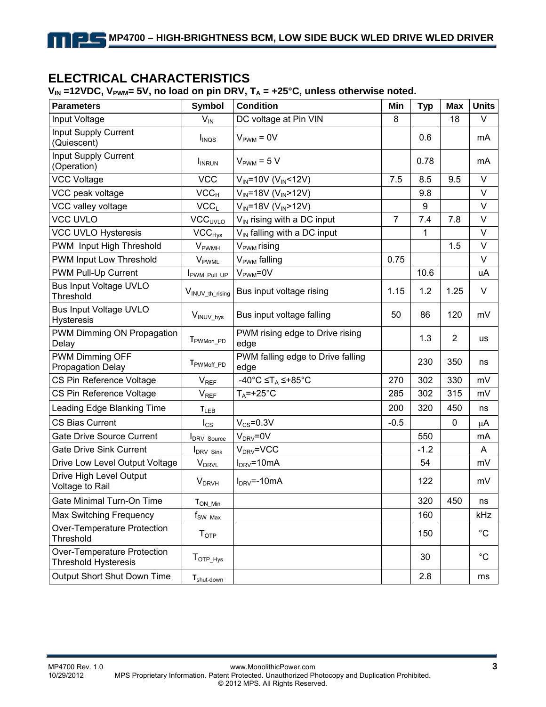## **ELECTRICAL CHARACTERISTICS**

 $V_{IN}$  =12VDC,  $V_{PWM}$ = 5V, no load on pin DRV,  $T_A$  = +25°C, unless otherwise noted.

| <b>Parameters</b>                                          | <b>Symbol</b>             | <b>Condition</b>                          | Min            | <b>Typ</b> | <b>Max</b>     | <b>Units</b> |
|------------------------------------------------------------|---------------------------|-------------------------------------------|----------------|------------|----------------|--------------|
| Input Voltage                                              | $V_{IN}$                  | DC voltage at Pin VIN                     | 8              |            | 18             | V            |
| Input Supply Current<br>(Quiescent)                        | I <sub>INQS</sub>         | $V_{\text{PWM}} = 0V$                     |                | 0.6        |                | mA           |
| <b>Input Supply Current</b><br>(Operation)                 | I <sub>INRUN</sub>        | $V_{\text{PWM}}$ = 5 V                    |                | 0.78       |                | mA           |
| <b>VCC Voltage</b>                                         | <b>VCC</b>                | $V_{IN} = 10V (V_{IN} < 12V)$             | 7.5            | 8.5        | 9.5            | $\vee$       |
| VCC peak voltage                                           | VCC <sub>H</sub>          | $V_{IN}$ =18V (V <sub>IN</sub> >12V)      |                | 9.8        |                | V            |
| VCC valley voltage                                         | VCC <sub>L</sub>          | $V_{IN}$ =18V (V <sub>IN</sub> >12V)      |                | 9          |                | V            |
| <b>VCC UVLO</b>                                            | <b>VCC<sub>UVLO</sub></b> | V <sub>IN</sub> rising with a DC input    | $\overline{7}$ | 7.4        | 7.8            | V            |
| <b>VCC UVLO Hysteresis</b>                                 | $VCC_{Hys}$               | V <sub>IN</sub> falling with a DC input   |                | 1          |                | V            |
| PWM Input High Threshold                                   | <b>V</b> <sub>PWMH</sub>  | V <sub>PWM</sub> rising                   |                |            | 1.5            | V            |
| PWM Input Low Threshold                                    | V <sub>PWML</sub>         | V <sub>PWM</sub> falling                  | 0.75           |            |                | V            |
| PWM Pull-Up Current                                        | <b>I</b> PWM Pull UP      | $V_{\text{PWM}} = 0V$                     |                | 10.6       |                | uA           |
| <b>Bus Input Voltage UVLO</b><br>Threshold                 | VINUV_th_rising           | Bus input voltage rising                  | 1.15           | 1.2        | 1.25           | V            |
| <b>Bus Input Voltage UVLO</b><br>Hysteresis                | V <sub>INUV_hys</sub>     | Bus input voltage falling                 | 50             | 86         | 120            | mV           |
| PWM Dimming ON Propagation<br>Delay                        | T <sub>PWMon_PD</sub>     | PWM rising edge to Drive rising<br>edge   |                | 1.3        | $\overline{2}$ | us           |
| PWM Dimming OFF<br><b>Propagation Delay</b>                | T <sub>PWMoff</sub> _PD   | PWM falling edge to Drive falling<br>edge |                | 230        | 350            | ns           |
| CS Pin Reference Voltage                                   | V <sub>REF</sub>          | -40°C ≤T <sub>A</sub> ≤+85°C              | 270            | 302        | 330            | mV           |
| CS Pin Reference Voltage                                   | $V_{REF}$                 | $T_A = +25$ °C                            | 285            | 302        | 315            | mV           |
| Leading Edge Blanking Time                                 | $T_{LEB}$                 |                                           | 200            | 320        | 450            | ns           |
| <b>CS Bias Current</b>                                     | $I_{CS}$                  | $V_{CS} = 0.3V$                           | $-0.5$         |            | $\mathbf 0$    | μA           |
| <b>Gate Drive Source Current</b>                           | <b>IDRV</b> Source        | $V_{DRV} = 0V$                            |                | 550        |                | mA           |
| <b>Gate Drive Sink Current</b>                             | <b>IDRV Sink</b>          | $V_{DRV}$ =VCC                            |                | $-1.2$     |                | A            |
| Drive Low Level Output Voltage                             | $V_{DRVL}$                | $I_{DRV} = 10mA$                          |                | 54         |                | mV           |
| Drive High Level Output<br>Voltage to Rail                 | <b>V</b> <sub>DRVH</sub>  | $I_{DRV} = -10mA$                         |                | 122        |                | mV           |
| Gate Minimal Turn-On Time                                  | T <sub>ON Min</sub>       |                                           |                | 320        | 450            | ns           |
| Max Switching Frequency                                    | $f_{SW\ Max}$             |                                           |                | 160        |                | kHz          |
| Over-Temperature Protection<br>Threshold                   | T <sub>OTP</sub>          |                                           |                | 150        |                | $^{\circ}C$  |
| Over-Temperature Protection<br><b>Threshold Hysteresis</b> | $T_{\text{OTP\_Hys}}$     |                                           |                | 30         |                | $^{\circ}C$  |
| Output Short Shut Down Time                                | T <sub>shut-down</sub>    |                                           |                | 2.8        |                | ms           |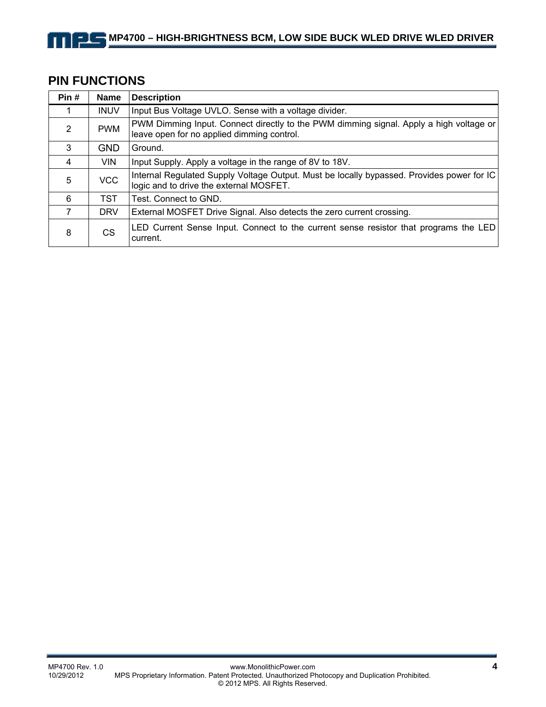# **PIN FUNCTIONS**

| Pin#           | <b>Name</b> | <b>Description</b>                                                                                                                   |
|----------------|-------------|--------------------------------------------------------------------------------------------------------------------------------------|
|                | <b>INUV</b> | Input Bus Voltage UVLO. Sense with a voltage divider.                                                                                |
| $\overline{2}$ | <b>PWM</b>  | PWM Dimming Input. Connect directly to the PWM dimming signal. Apply a high voltage or<br>leave open for no applied dimming control. |
| 3              | <b>GND</b>  | Ground.                                                                                                                              |
| 4              | <b>VIN</b>  | Input Supply. Apply a voltage in the range of 8V to 18V.                                                                             |
| 5              | <b>VCC</b>  | Internal Regulated Supply Voltage Output. Must be locally bypassed. Provides power for IC<br>logic and to drive the external MOSFET. |
| 6              | TST         | Test. Connect to GND.                                                                                                                |
| 7              | <b>DRV</b>  | External MOSFET Drive Signal. Also detects the zero current crossing.                                                                |
| 8              | CS          | LED Current Sense Input. Connect to the current sense resistor that programs the LED<br>current.                                     |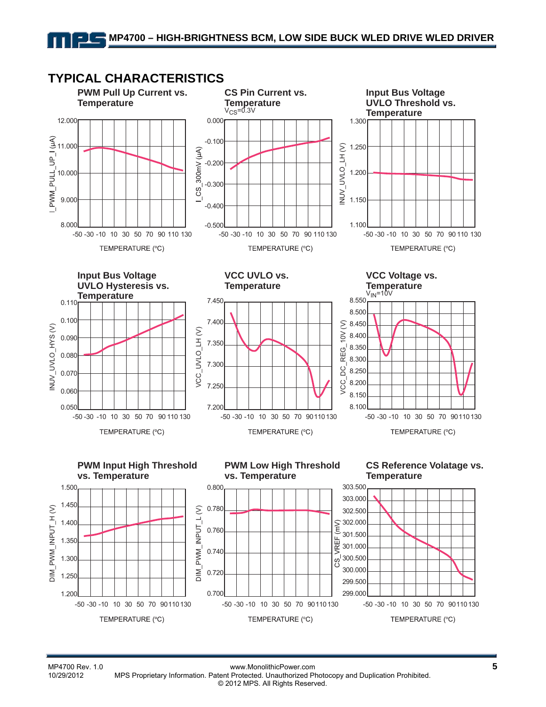

MP4700 Rev. 1.0 www.MonolithicPower.com **5** 10/29/2012 MPS Proprietary Information. Patent Protected. Unauthorized Photocopy and Duplication Prohibited. © 2012 MPS. All Rights Reserved.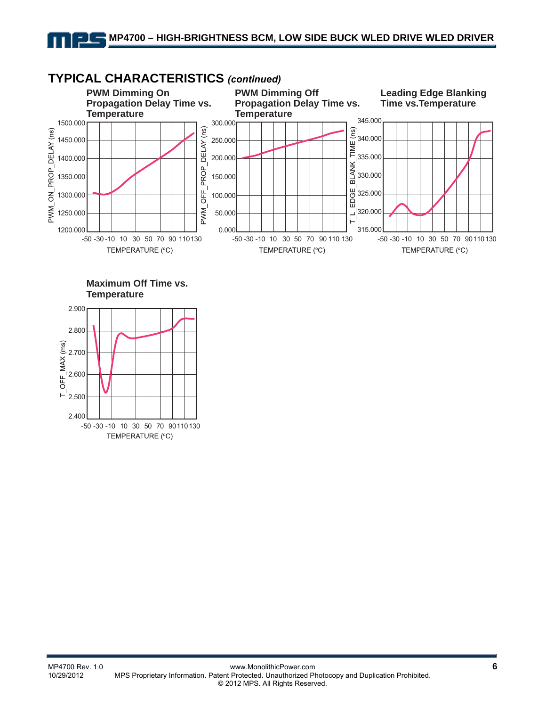

## **TYPICAL CHARACTERISTICS** *(continued)*



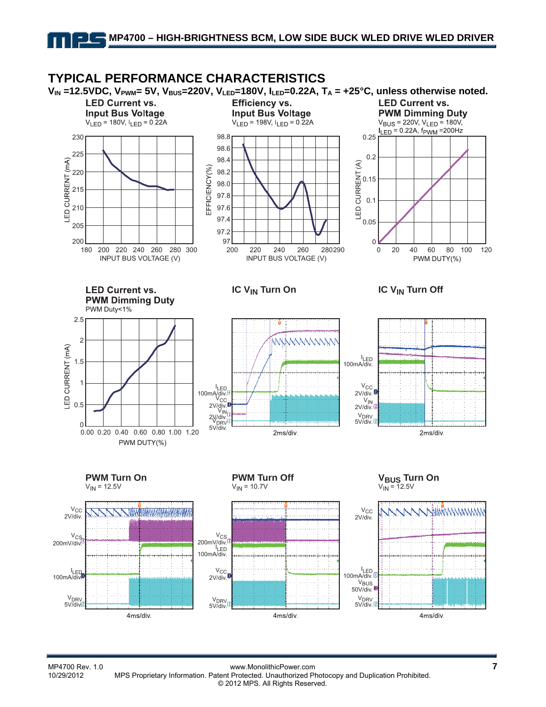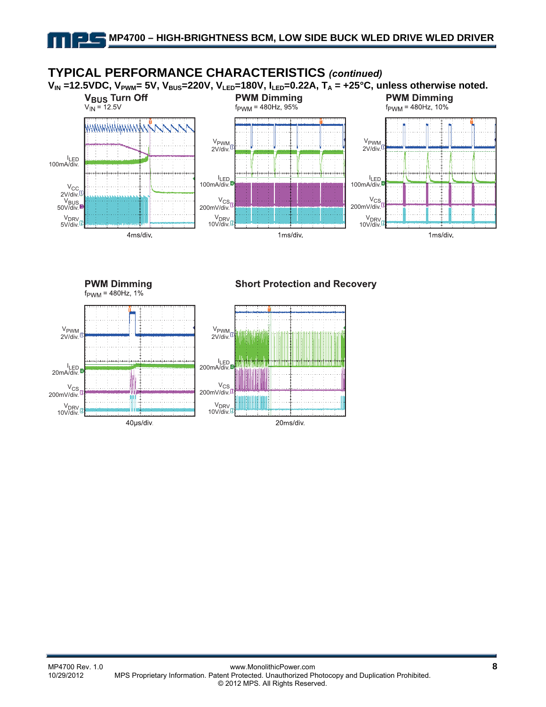

**PWM Dimming**  $f_{\text{PWM}} = 480 \text{Hz}, 1\%$ 

**Short Protection and Recovery** 

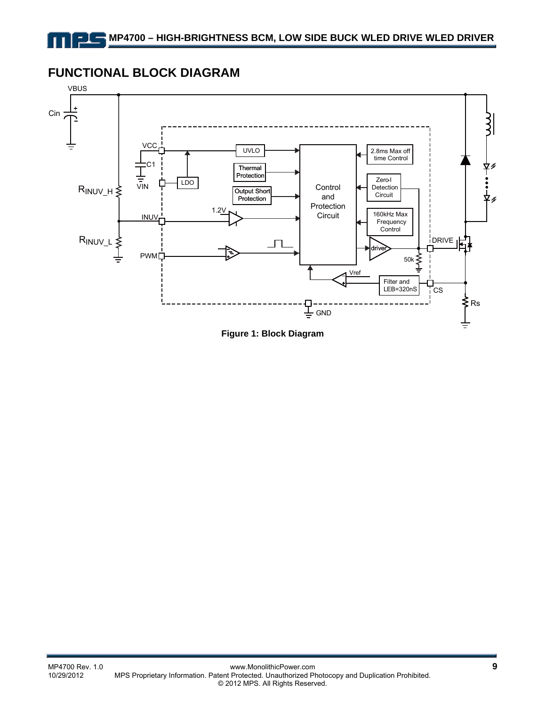## **FUNCTIONAL BLOCK DIAGRAM**



**Figure 1: Block Diagram**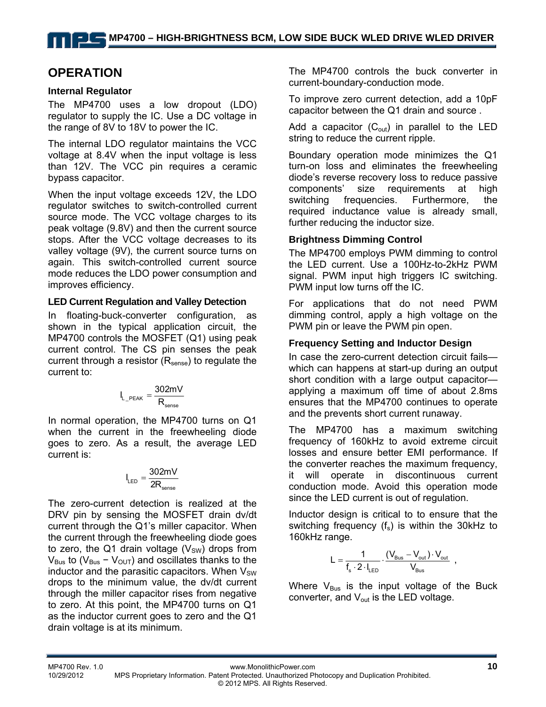# **OPERATION**

#### **Internal Regulator**

The MP4700 uses a low dropout (LDO) regulator to supply the IC. Use a DC voltage in the range of 8V to 18V to power the IC.

The internal LDO regulator maintains the VCC voltage at 8.4V when the input voltage is less than 12V. The VCC pin requires a ceramic bypass capacitor.

When the input voltage exceeds 12V, the LDO regulator switches to switch-controlled current source mode. The VCC voltage charges to its peak voltage (9.8V) and then the current source stops. After the VCC voltage decreases to its valley voltage (9V), the current source turns on again. This switch-controlled current source mode reduces the LDO power consumption and improves efficiency.

#### **LED Current Regulation and Valley Detection**

In floating-buck-converter configuration, as shown in the typical application circuit, the MP4700 controls the MOSFET (Q1) using peak current control. The CS pin senses the peak current through a resistor  $(R_{\text{sense}})$  to regulate the current to:

$$
I_{L\_PEAK} = \frac{302mV}{R_{\text{sense}}}
$$

In normal operation, the MP4700 turns on Q1 when the current in the freewheeling diode goes to zero. As a result, the average LED current is:

$$
I_{LED} = \frac{302mV}{2R_{sense}}
$$

The zero-current detection is realized at the DRV pin by sensing the MOSFET drain dv/dt current through the Q1's miller capacitor. When the current through the freewheeling diode goes to zero, the Q1 drain voltage  $(V_{SW})$  drops from  $V_{\text{Bus}}$  to ( $V_{\text{Bus}} - V_{\text{OUT}}$ ) and oscillates thanks to the inductor and the parasitic capacitors. When  $V_{SW}$ drops to the minimum value, the dv/dt current through the miller capacitor rises from negative to zero. At this point, the MP4700 turns on Q1 as the inductor current goes to zero and the Q1 drain voltage is at its minimum.

The MP4700 controls the buck converter in current-boundary-conduction mode.

To improve zero current detection, add a 10pF capacitor between the Q1 drain and source .

Add a capacitor  $(C_{out})$  in parallel to the LED string to reduce the current ripple.

Boundary operation mode minimizes the Q1 turn-on loss and eliminates the freewheeling diode's reverse recovery loss to reduce passive components' size requirements at high switching frequencies. Furthermore, the required inductance value is already small, further reducing the inductor size.

## **Brightness Dimming Control**

The MP4700 employs PWM dimming to control the LED current. Use a 100Hz-to-2kHz PWM signal. PWM input high triggers IC switching. PWM input low turns off the IC.

For applications that do not need PWM dimming control, apply a high voltage on the PWM pin or leave the PWM pin open.

## **Frequency Setting and Inductor Design**

In case the zero-current detection circuit fails which can happens at start-up during an output short condition with a large output capacitor applying a maximum off time of about 2.8ms ensures that the MP4700 continues to operate and the prevents short current runaway.

The MP4700 has a maximum switching frequency of 160kHz to avoid extreme circuit losses and ensure better EMI performance. If the converter reaches the maximum frequency, it will operate in discontinuous current conduction mode. Avoid this operation mode since the LED current is out of regulation.

Inductor design is critical to to ensure that the switching frequency  $(f_s)$  is within the 30kHz to 160kHz range.

$$
L = \frac{1}{f_s \cdot 2 \cdot I_{\text{LED}}} \cdot \frac{(V_{\text{Bus}} - V_{\text{out}}) \cdot V_{\text{out}}}{V_{\text{Bus}}} \enspace ,
$$

Where  $V_{\text{Bus}}$  is the input voltage of the Buck converter, and  $V_{out}$  is the LED voltage.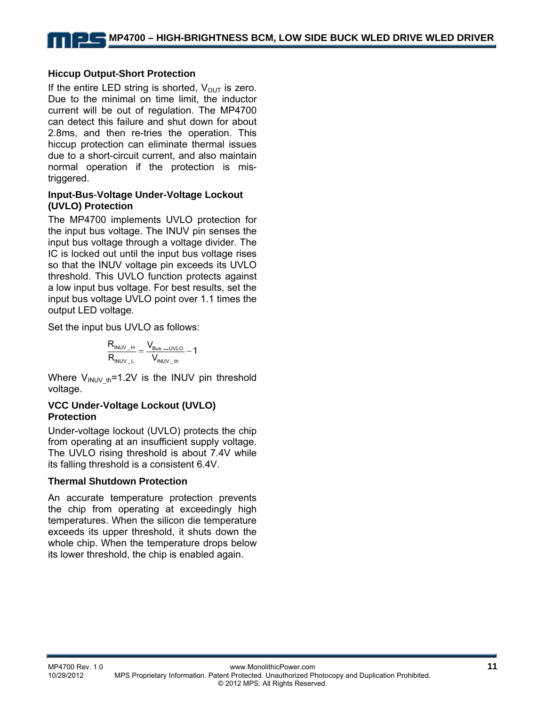#### **Hiccup Output-Short Protection**

If the entire LED string is shorted,  $V_{OUT}$  is zero. Due to the minimal on time limit, the inductor current will be out of regulation. The MP4700 can detect this failure and shut down for about 2.8ms, and then re-tries the operation. This hiccup protection can eliminate thermal issues due to a short-circuit current, and also maintain normal operation if the protection is mistriggered.

#### **Input-Bus**-**Voltage Under-Voltage Lockout (UVLO) Protection**

The MP4700 implements UVLO protection for the input bus voltage. The INUV pin senses the input bus voltage through a voltage divider. The IC is locked out until the input bus voltage rises so that the INUV voltage pin exceeds its UVLO threshold. This UVLO function protects against a low input bus voltage. For best results, set the input bus voltage UVLO point over 1.1 times the output LED voltage.

Set the input bus UVLO as follows:

$$
\frac{R_{\text{INUV}\_H}}{R_{\text{INUV}\_L}} = \frac{V_{\text{Bus}\_UVLO}}{V_{\text{INUV}\_th}} - 1
$$

Where  $V_{\text{INUV th}}$ =1.2V is the INUV pin threshold voltage.

#### **VCC Under-Voltage Lockout (UVLO) Protection**

Under-voltage lockout (UVLO) protects the chip from operating at an insufficient supply voltage. The UVLO rising threshold is about 7.4V while its falling threshold is a consistent 6.4V.

#### **Thermal Shutdown Protection**

An accurate temperature protection prevents the chip from operating at exceedingly high temperatures. When the silicon die temperature exceeds its upper threshold, it shuts down the whole chip. When the temperature drops below its lower threshold, the chip is enabled again.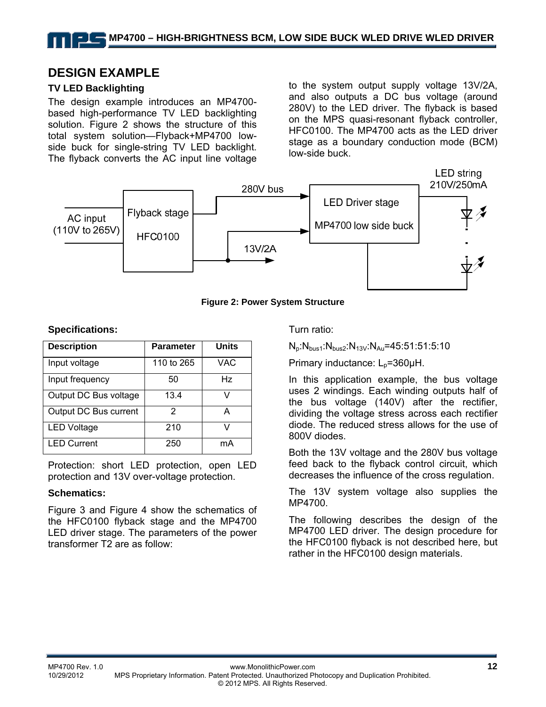## **DESIGN EXAMPLE**

## **TV LED Backlighting**

The design example introduces an MP4700 based high-performance TV LED backlighting solution. Figure 2 shows the structure of this total system solution—Flyback+MP4700 lowside buck for single-string TV LED backlight. The flyback converts the AC input line voltage to the system output supply voltage 13V/2A, and also outputs a DC bus voltage (around 280V) to the LED driver. The flyback is based on the MPS quasi-resonant flyback controller, HFC0100. The MP4700 acts as the LED driver stage as a boundary conduction mode (BCM) low-side buck.



**Figure 2: Power System Structure** 

#### **Specifications:**

| <b>Description</b>    | Parameter  | <b>Units</b> |
|-----------------------|------------|--------------|
| Input voltage         | 110 to 265 | VAC          |
| Input frequency       | 50         | Hz           |
| Output DC Bus voltage | 13.4       |              |
| Output DC Bus current | 2          | A            |
| <b>LED Voltage</b>    | 210        |              |
| <b>LED Current</b>    | 250        | mA           |

Protection: short LED protection, open LED protection and 13V over-voltage protection.

#### **Schematics:**

Figure 3 and Figure 4 show the schematics of the HFC0100 flyback stage and the MP4700 LED driver stage. The parameters of the power transformer T2 are as follow:

Turn ratio:

 $N_p:N_{bus1}:N_{bus2}:N_{13V}:N_{Au}=45:51:51:5:10$ 

Primary inductance: L<sub>p</sub>=360μH.

In this application example, the bus voltage uses 2 windings. Each winding outputs half of the bus voltage (140V) after the rectifier, dividing the voltage stress across each rectifier diode. The reduced stress allows for the use of 800V diodes.

Both the 13V voltage and the 280V bus voltage feed back to the flyback control circuit, which decreases the influence of the cross regulation.

The 13V system voltage also supplies the MP4700.

The following describes the design of the MP4700 LED driver. The design procedure for the HFC0100 flyback is not described here, but rather in the HFC0100 design materials.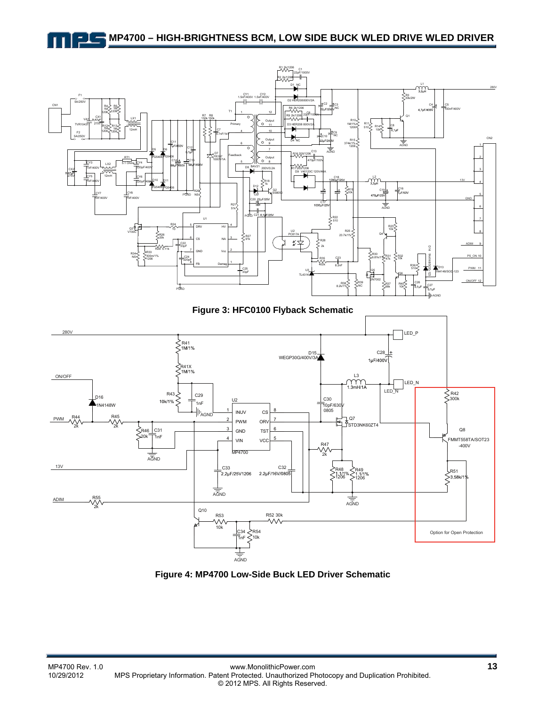## **MP4700 – HIGH-BRIGHTNESS BCM, LOW SIDE BUCK WLED DRIVE WLED DRIVER**



**Figure 3: HFC0100 Flyback Schematic** 



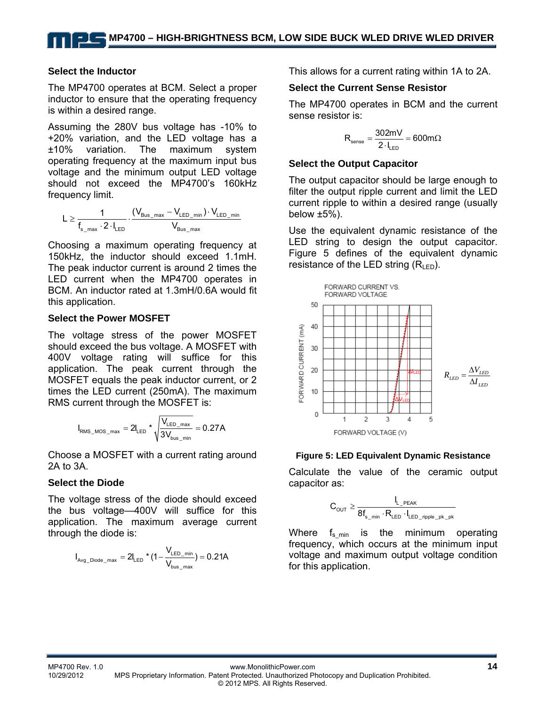#### **Select the Inductor**

The MP4700 operates at BCM. Select a proper inductor to ensure that the operating frequency is within a desired range.

Assuming the 280V bus voltage has -10% to +20% variation, and the LED voltage has a ±10% variation. The maximum system operating frequency at the maximum input bus voltage and the minimum output LED voltage should not exceed the MP4700's 160kHz frequency limit.

$$
L \geq \frac{1}{f_{s\_max} \cdot 2 \cdot l_{\text{LED}}} \cdot \frac{(V_{\text{Bus\_max}} - V_{\text{LED\_min}}) \cdot V_{\text{LED\_min}}}{V_{\text{Bus\_max}}}
$$

Choosing a maximum operating frequency at 150kHz, the inductor should exceed 1.1mH. The peak inductor current is around 2 times the LED current when the MP4700 operates in BCM. An inductor rated at 1.3mH/0.6A would fit this application.

#### **Select the Power MOSFET**

The voltage stress of the power MOSFET should exceed the bus voltage. A MOSFET with 400V voltage rating will suffice for this application. The peak current through the MOSFET equals the peak inductor current, or 2 times the LED current (250mA). The maximum RMS current through the MOSFET is:

$$
I_{\text{RMS\_MOS\_max}} = 2 I_{\text{LED}} * \sqrt{\frac{V_{\text{LED\_max}}}{3 V_{\text{bus\_min}}}} = 0.27 A
$$

Choose a MOSFET with a current rating around 2A to 3A.

#### **Select the Diode**

The voltage stress of the diode should exceed the bus voltage—400V will suffice for this application. The maximum average current through the diode is:

$$
I_{\text{Avg\_Diode\_max}} = 2 I_{\text{LED}} \star (1 - \frac{V_{\text{LED\_min}}}{V_{\text{bus\_max}}} ) = 0.21 A
$$

This allows for a current rating within 1A to 2A.

#### **Select the Current Sense Resistor**

The MP4700 operates in BCM and the current sense resistor is:

$$
R_{\text{sense}} = \frac{302mV}{2 \cdot I_{\text{LED}}} = 600m\Omega
$$

#### **Select the Output Capacitor**

The output capacitor should be large enough to filter the output ripple current and limit the LED current ripple to within a desired range (usually below  $±5%$ ).

Use the equivalent dynamic resistance of the LED string to design the output capacitor. Figure 5 defines of the equivalent dynamic resistance of the LED string  $(R<sub>lFD</sub>)$ .



#### **Figure 5: LED Equivalent Dynamic Resistance**

Calculate the value of the ceramic output capacitor as:

$$
C_{\text{OUT}} \geq \frac{I_{L\_PEAK}}{8f_{s\_min} \cdot R_{\text{LED}} \cdot I_{\text{LED\_right\_pk\_pk}}}
$$

Where  $f_{\text{s,min}}$  is the minimum operating frequency, which occurs at the minimum input voltage and maximum output voltage condition for this application.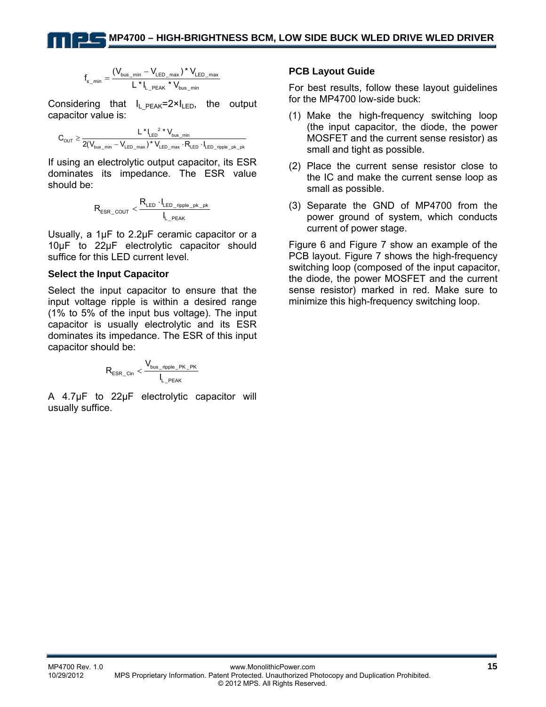$$
f_{s\_min} = \frac{(\boldsymbol{V}_{\text{bus\_min}} - \boldsymbol{V}_{\text{LED\_max}})^\star \, \boldsymbol{V}_{\text{LED\_max}}}{L^\star \, I_{\text{L\_PEAK}}^\star \, \boldsymbol{V}_{\text{bus\_min}}}
$$

Considering that  $I_L$ <sub>PEAK</sub>=2×I<sub>LED</sub>, the output capacitor value is:

$$
C_{_{OUT}} \geq \frac{L^{\star}\big|_{_{LED}}^2\star V_{_{bus\_min}}}{2(V_{_{bus\_min}} - V_{LED\_max})^{\star} \, V_{LED\_max} \cdot R_{LED} \cdot I_{LED\_right\_pk\_pk}}
$$

If using an electrolytic output capacitor, its ESR dominates its impedance. The ESR value should be:

$$
R_{\text{ESR\_COUT}} < \frac{R_{\text{LED}} \cdot l_{\text{LED\_right\_pk\_pk}}}{l_{\text{L\_PEAK}}}
$$

Usually, a 1μF to 2.2μF ceramic capacitor or a 10μF to 22μF electrolytic capacitor should suffice for this LED current level.

#### **Select the Input Capacitor**

Select the input capacitor to ensure that the input voltage ripple is within a desired range (1% to 5% of the input bus voltage). The input capacitor is usually electrolytic and its ESR dominates its impedance. The ESR of this input capacitor should be:

$$
R_{\text{ESR\_Cin}} < \frac{V_{\text{bus\_right\_PK\_PK}}}{I_{L\_PEAK}}
$$

A 4.7μF to 22μF electrolytic capacitor will usually suffice.

#### **PCB Layout Guide**

For best results, follow these layout guidelines for the MP4700 low-side buck:

- (1) Make the high-frequency switching loop (the input capacitor, the diode, the power MOSFET and the current sense resistor) as small and tight as possible.
- (2) Place the current sense resistor close to the IC and make the current sense loop as small as possible.
- (3) Separate the GND of MP4700 from the power ground of system, which conducts current of power stage.

Figure 6 and Figure 7 show an example of the PCB layout. Figure 7 shows the high-frequency switching loop (composed of the input capacitor, the diode, the power MOSFET and the current sense resistor) marked in red. Make sure to minimize this high-frequency switching loop.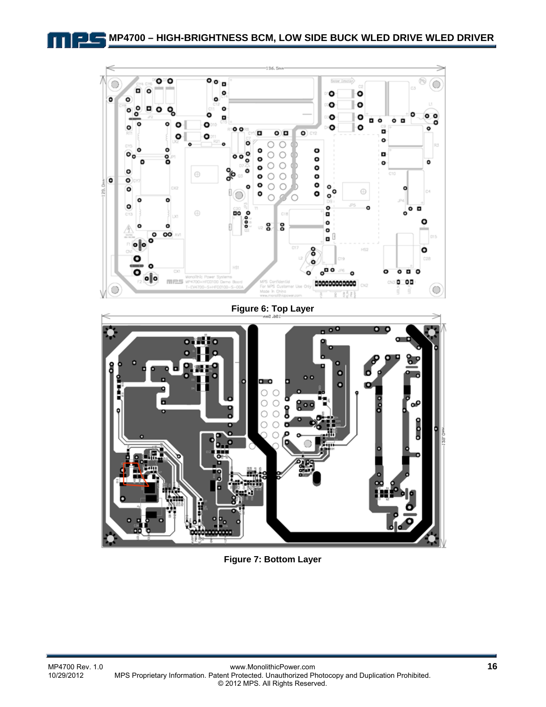

**Figure 7: Bottom Layer**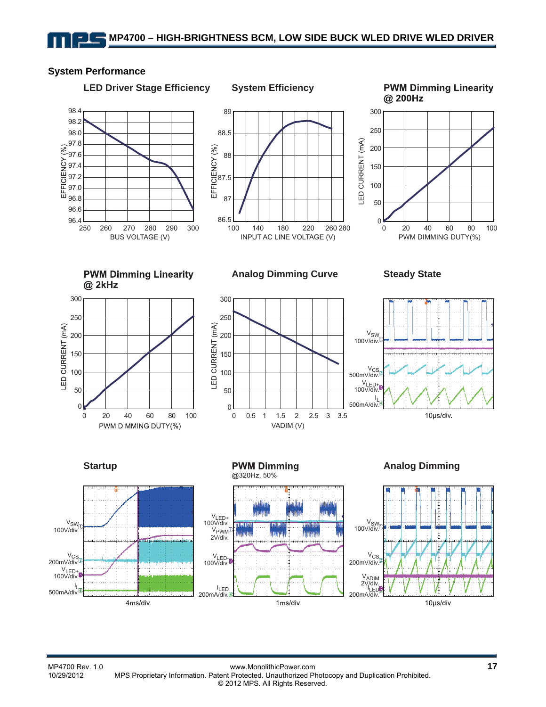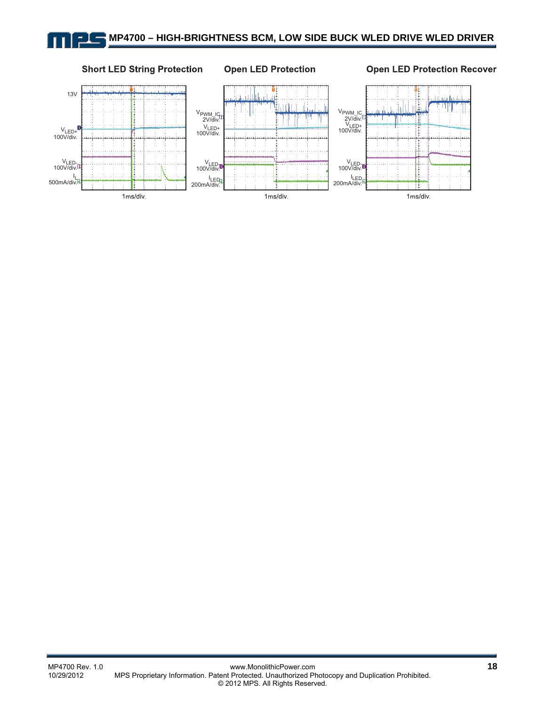#### **Short LED String Protection**

#### **Open LED Protection**

**Open LED Protection Recover**